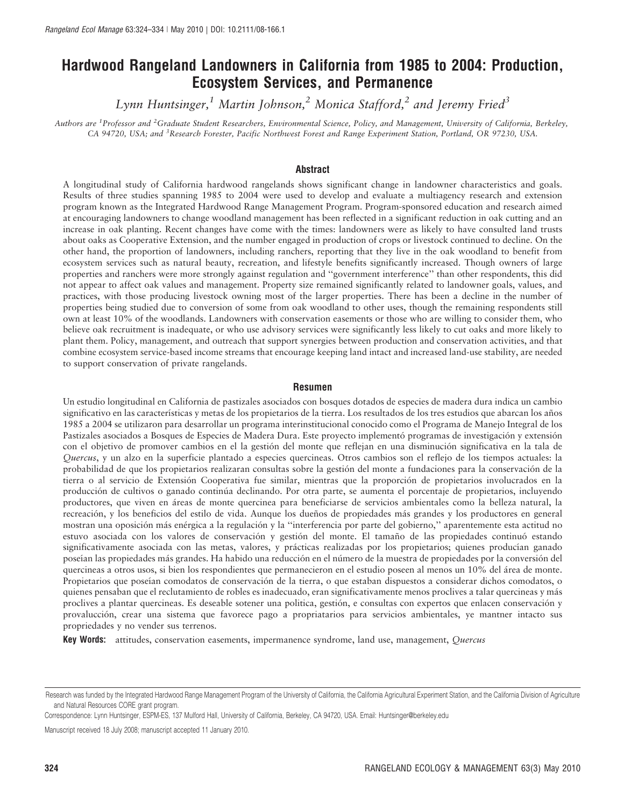# Hardwood Rangeland Landowners in California from 1985 to 2004: Production, Ecosystem Services, and Permanence

Lynn Huntsinger,<sup>1</sup> Martin Johnson,<sup>2</sup> Monica Stafford,<sup>2</sup> and Jeremy Fried<sup>3</sup>

Authors are <sup>1</sup>Professor and <sup>2</sup>Graduate Student Researchers, Environmental Science, Policy, and Management, University of California, Berkeley, CA 94720, USA; and <sup>3</sup>Research Forester, Pacific Northwest Forest and Range Experiment Station, Portland, OR 97230, USA.

#### Abstract

A longitudinal study of California hardwood rangelands shows significant change in landowner characteristics and goals. Results of three studies spanning 1985 to 2004 were used to develop and evaluate a multiagency research and extension program known as the Integrated Hardwood Range Management Program. Program-sponsored education and research aimed at encouraging landowners to change woodland management has been reflected in a significant reduction in oak cutting and an increase in oak planting. Recent changes have come with the times: landowners were as likely to have consulted land trusts about oaks as Cooperative Extension, and the number engaged in production of crops or livestock continued to decline. On the other hand, the proportion of landowners, including ranchers, reporting that they live in the oak woodland to benefit from ecosystem services such as natural beauty, recreation, and lifestyle benefits significantly increased. Though owners of large properties and ranchers were more strongly against regulation and ''government interference'' than other respondents, this did not appear to affect oak values and management. Property size remained significantly related to landowner goals, values, and practices, with those producing livestock owning most of the larger properties. There has been a decline in the number of properties being studied due to conversion of some from oak woodland to other uses, though the remaining respondents still own at least 10% of the woodlands. Landowners with conservation easements or those who are willing to consider them, who believe oak recruitment is inadequate, or who use advisory services were significantly less likely to cut oaks and more likely to plant them. Policy, management, and outreach that support synergies between production and conservation activities, and that combine ecosystem service-based income streams that encourage keeping land intact and increased land-use stability, are needed to support conservation of private rangelands.

#### Resumen

Un estudio longitudinal en California de pastizales asociados con bosques dotados de especies de madera dura indica un cambio significativo en las características y metas de los propietarios de la tierra. Los resultados de los tres estudios que abarcan los años 1985 a 2004 se utilizaron para desarrollar un programa interinstitucional conocido como el Programa de Manejo Integral de los Pastizales asociados a Bosques de Especies de Madera Dura. Este proyecto implementó programas de investigación y extensión con el objetivo de promover cambios en el la gestión del monte que reflejan en una disminución significativa en la tala de Quercus, y un alzo en la superficie plantado a especies quercineas. Otros cambios son el reflejo de los tiempos actuales: la probabilidad de que los propietarios realizaran consultas sobre la gestión del monte a fundaciones para la conservación de la tierra o al servicio de Extensión Cooperativa fue similar, mientras que la proporción de propietarios involucrados en la producción de cultivos o ganado continúa declinando. Por otra parte, se aumenta el porcentaje de propietarios, incluyendo productores, que viven en a´reas de monte quercinea para beneficiarse de servicios ambientales como la belleza natural, la recreación, y los beneficios del estilo de vida. Aunque los dueños de propiedades más grandes y los productores en general mostran una oposición más enérgica a la regulación y la "interferencia por parte del gobierno," aparentemente esta actitud no estuvo asociada con los valores de conservación y gestión del monte. El tamaño de las propiedades continuó estando significativamente asociada con las metas, valores, y prácticas realizadas por los propietarios; quienes producían ganado poseían las propiedades más grandes. Ha habido una reducción en el número de la muestra de propiedades por la conversión del quercineas a otros usos, si bien los respondientes que permanecieron en el estudio poseen al menos un 10% del área de monte. Propietarios que poseían comodatos de conservación de la tierra, o que estaban dispuestos a considerar dichos comodatos, o quienes pensaban que el reclutamiento de robles es inadecuado, eran significativamente menos proclives a talar quercineas y ma´s proclives a plantar quercineas. Es deseable sotener una politica, gestión, e consultas con expertos que enlacen conservación y provaluccio´n, crear una sistema que favorece pago a propriatarios para servicios ambientales, ye mantner intacto sus propriedades y no vender sus terrenos.

Key Words: attitudes, conservation easements, impermanence syndrome, land use, management, Quercus

Correspondence: Lynn Huntsinger, ESPM-ES, 137 Mulford Hall, University of California, Berkeley, CA 94720, USA. Email: Huntsinger@berkeley.edu

Manuscript received 18 July 2008; manuscript accepted 11 January 2010.

Research was funded by the Integrated Hardwood Range Management Program of the University of California, the California Agricultural Experiment Station, and the California Division of Agriculture and Natural Resources CORE grant program.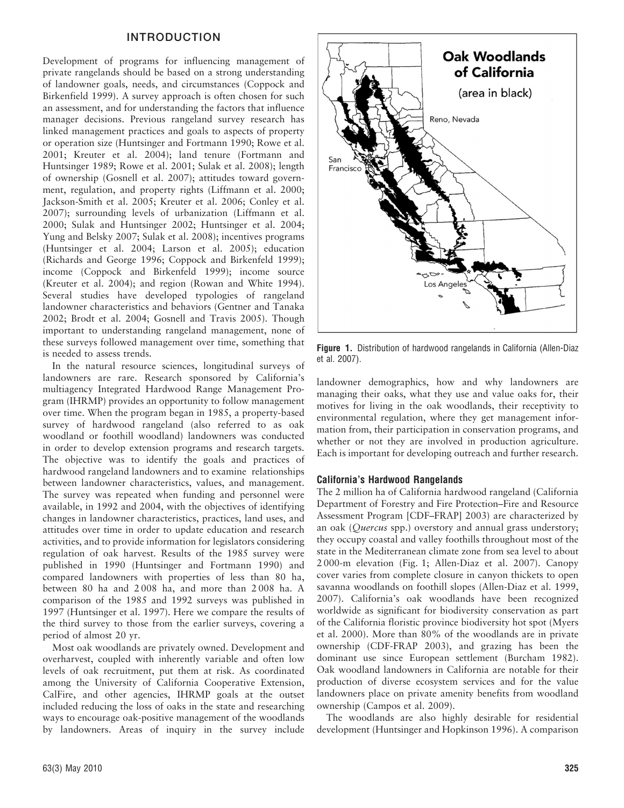## INTRODUCTION

Development of programs for influencing management of private rangelands should be based on a strong understanding of landowner goals, needs, and circumstances (Coppock and Birkenfield 1999). A survey approach is often chosen for such an assessment, and for understanding the factors that influence manager decisions. Previous rangeland survey research has linked management practices and goals to aspects of property or operation size (Huntsinger and Fortmann 1990; Rowe et al. 2001; Kreuter et al. 2004); land tenure (Fortmann and Huntsinger 1989; Rowe et al. 2001; Sulak et al. 2008); length of ownership (Gosnell et al. 2007); attitudes toward government, regulation, and property rights (Liffmann et al. 2000; Jackson-Smith et al. 2005; Kreuter et al. 2006; Conley et al. 2007); surrounding levels of urbanization (Liffmann et al. 2000; Sulak and Huntsinger 2002; Huntsinger et al. 2004; Yung and Belsky 2007; Sulak et al. 2008); incentives programs (Huntsinger et al. 2004; Larson et al. 2005); education (Richards and George 1996; Coppock and Birkenfeld 1999); income (Coppock and Birkenfeld 1999); income source (Kreuter et al. 2004); and region (Rowan and White 1994). Several studies have developed typologies of rangeland landowner characteristics and behaviors (Gentner and Tanaka 2002; Brodt et al. 2004; Gosnell and Travis 2005). Though important to understanding rangeland management, none of these surveys followed management over time, something that is needed to assess trends.

In the natural resource sciences, longitudinal surveys of landowners are rare. Research sponsored by California's multiagency Integrated Hardwood Range Management Program (IHRMP) provides an opportunity to follow management over time. When the program began in 1985, a property-based survey of hardwood rangeland (also referred to as oak woodland or foothill woodland) landowners was conducted in order to develop extension programs and research targets. The objective was to identify the goals and practices of hardwood rangeland landowners and to examine relationships between landowner characteristics, values, and management. The survey was repeated when funding and personnel were available, in 1992 and 2004, with the objectives of identifying changes in landowner characteristics, practices, land uses, and attitudes over time in order to update education and research activities, and to provide information for legislators considering regulation of oak harvest. Results of the 1985 survey were published in 1990 (Huntsinger and Fortmann 1990) and compared landowners with properties of less than 80 ha, between 80 ha and 2 008 ha, and more than 2 008 ha. A comparison of the 1985 and 1992 surveys was published in 1997 (Huntsinger et al. 1997). Here we compare the results of the third survey to those from the earlier surveys, covering a period of almost 20 yr.

Most oak woodlands are privately owned. Development and overharvest, coupled with inherently variable and often low levels of oak recruitment, put them at risk. As coordinated among the University of California Cooperative Extension, CalFire, and other agencies, IHRMP goals at the outset included reducing the loss of oaks in the state and researching ways to encourage oak-positive management of the woodlands by landowners. Areas of inquiry in the survey include



Figure 1. Distribution of hardwood rangelands in California (Allen-Diaz et al. 2007).

landowner demographics, how and why landowners are managing their oaks, what they use and value oaks for, their motives for living in the oak woodlands, their receptivity to environmental regulation, where they get management information from, their participation in conservation programs, and whether or not they are involved in production agriculture. Each is important for developing outreach and further research.

## California's Hardwood Rangelands

The 2 million ha of California hardwood rangeland (California Department of Forestry and Fire Protection–Fire and Resource Assessment Program [CDF–FRAP] 2003) are characterized by an oak (Quercus spp.) overstory and annual grass understory; they occupy coastal and valley foothills throughout most of the state in the Mediterranean climate zone from sea level to about 2 000-m elevation (Fig. 1; Allen-Diaz et al. 2007). Canopy cover varies from complete closure in canyon thickets to open savanna woodlands on foothill slopes (Allen-Diaz et al. 1999, 2007). California's oak woodlands have been recognized worldwide as significant for biodiversity conservation as part of the California floristic province biodiversity hot spot (Myers et al. 2000). More than 80% of the woodlands are in private ownership (CDF-FRAP 2003), and grazing has been the dominant use since European settlement (Burcham 1982). Oak woodland landowners in California are notable for their production of diverse ecosystem services and for the value landowners place on private amenity benefits from woodland ownership (Campos et al. 2009).

The woodlands are also highly desirable for residential development (Huntsinger and Hopkinson 1996). A comparison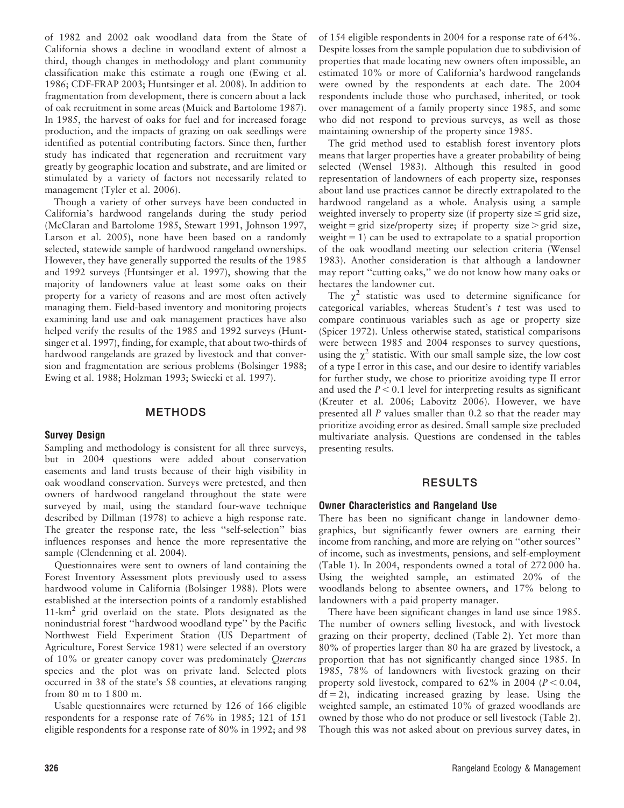of 1982 and 2002 oak woodland data from the State of California shows a decline in woodland extent of almost a third, though changes in methodology and plant community classification make this estimate a rough one (Ewing et al. 1986; CDF-FRAP 2003; Huntsinger et al. 2008). In addition to fragmentation from development, there is concern about a lack of oak recruitment in some areas (Muick and Bartolome 1987). In 1985, the harvest of oaks for fuel and for increased forage production, and the impacts of grazing on oak seedlings were identified as potential contributing factors. Since then, further study has indicated that regeneration and recruitment vary greatly by geographic location and substrate, and are limited or stimulated by a variety of factors not necessarily related to management (Tyler et al. 2006).

Though a variety of other surveys have been conducted in California's hardwood rangelands during the study period (McClaran and Bartolome 1985, Stewart 1991, Johnson 1997, Larson et al. 2005), none have been based on a randomly selected, statewide sample of hardwood rangeland ownerships. However, they have generally supported the results of the 1985 and 1992 surveys (Huntsinger et al. 1997), showing that the majority of landowners value at least some oaks on their property for a variety of reasons and are most often actively managing them. Field-based inventory and monitoring projects examining land use and oak management practices have also helped verify the results of the 1985 and 1992 surveys (Huntsinger et al. 1997), finding, for example, that about two-thirds of hardwood rangelands are grazed by livestock and that conversion and fragmentation are serious problems (Bolsinger 1988; Ewing et al. 1988; Holzman 1993; Swiecki et al. 1997).

#### METHODS

#### Survey Design

Sampling and methodology is consistent for all three surveys, but in 2004 questions were added about conservation easements and land trusts because of their high visibility in oak woodland conservation. Surveys were pretested, and then owners of hardwood rangeland throughout the state were surveyed by mail, using the standard four-wave technique described by Dillman (1978) to achieve a high response rate. The greater the response rate, the less ''self-selection'' bias influences responses and hence the more representative the sample (Clendenning et al. 2004).

Questionnaires were sent to owners of land containing the Forest Inventory Assessment plots previously used to assess hardwood volume in California (Bolsinger 1988). Plots were established at the intersection points of a randomly established 11-km<sup>2</sup> grid overlaid on the state. Plots designated as the nonindustrial forest ''hardwood woodland type'' by the Pacific Northwest Field Experiment Station (US Department of Agriculture, Forest Service 1981) were selected if an overstory of 10% or greater canopy cover was predominately Quercus species and the plot was on private land. Selected plots occurred in 38 of the state's 58 counties, at elevations ranging from 80 m to 1 800 m.

Usable questionnaires were returned by 126 of 166 eligible respondents for a response rate of 76% in 1985; 121 of 151 eligible respondents for a response rate of 80% in 1992; and 98 of 154 eligible respondents in 2004 for a response rate of 64%. Despite losses from the sample population due to subdivision of properties that made locating new owners often impossible, an estimated 10% or more of California's hardwood rangelands were owned by the respondents at each date. The 2004 respondents include those who purchased, inherited, or took over management of a family property since 1985, and some who did not respond to previous surveys, as well as those maintaining ownership of the property since 1985.

The grid method used to establish forest inventory plots means that larger properties have a greater probability of being selected (Wensel 1983). Although this resulted in good representation of landowners of each property size, responses about land use practices cannot be directly extrapolated to the hardwood rangeland as a whole. Analysis using a sample weighted inversely to property size (if property size  $\le$  grid size, weight = grid size/property size; if property size > grid size, weight  $= 1$ ) can be used to extrapolate to a spatial proportion of the oak woodland meeting our selection criteria (Wensel 1983). Another consideration is that although a landowner may report ''cutting oaks,'' we do not know how many oaks or hectares the landowner cut.

The  $\chi^2$  statistic was used to determine significance for categorical variables, whereas Student's  $t$  test was used to compare continuous variables such as age or property size (Spicer 1972). Unless otherwise stated, statistical comparisons were between 1985 and 2004 responses to survey questions, using the  $\chi^2$  statistic. With our small sample size, the low cost of a type I error in this case, and our desire to identify variables for further study, we chose to prioritize avoiding type II error and used the  $P < 0.1$  level for interpreting results as significant (Kreuter et al. 2006; Labovitz 2006). However, we have presented all P values smaller than 0.2 so that the reader may prioritize avoiding error as desired. Small sample size precluded multivariate analysis. Questions are condensed in the tables presenting results.

## RESULTS

#### Owner Characteristics and Rangeland Use

There has been no significant change in landowner demographics, but significantly fewer owners are earning their income from ranching, and more are relying on ''other sources'' of income, such as investments, pensions, and self-employment (Table 1). In 2004, respondents owned a total of 272 000 ha. Using the weighted sample, an estimated 20% of the woodlands belong to absentee owners, and 17% belong to landowners with a paid property manager.

There have been significant changes in land use since 1985. The number of owners selling livestock, and with livestock grazing on their property, declined (Table 2). Yet more than 80% of properties larger than 80 ha are grazed by livestock, a proportion that has not significantly changed since 1985. In 1985, 78% of landowners with livestock grazing on their property sold livestock, compared to  $62\%$  in 2004 ( $P < 0.04$ ,  $df = 2$ ), indicating increased grazing by lease. Using the weighted sample, an estimated 10% of grazed woodlands are owned by those who do not produce or sell livestock (Table 2). Though this was not asked about on previous survey dates, in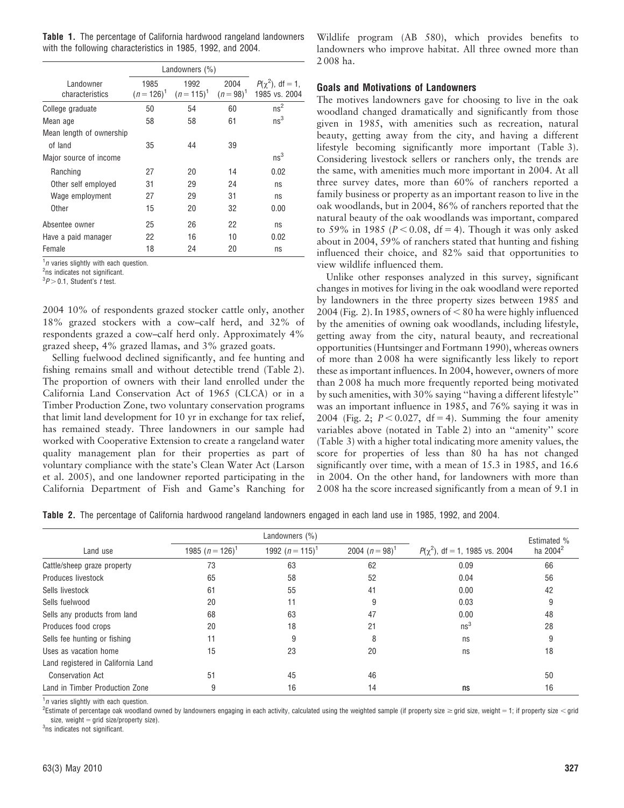|  |  |  |  |                                                             | <b>Table 1.</b> The percentage of California hardwood rangeland landowners |
|--|--|--|--|-------------------------------------------------------------|----------------------------------------------------------------------------|
|  |  |  |  | with the following characteristics in 1985, 1992, and 2004. |                                                                            |

|                              |                         | Landowners (%)          |                      |                                        |  |  |
|------------------------------|-------------------------|-------------------------|----------------------|----------------------------------------|--|--|
| Landowner<br>characteristics | 1985<br>$(n = 126)^{1}$ | 1992<br>$(n = 115)^{1}$ | 2004<br>$(n=98)^{1}$ | $P(\chi^2)$ , df = 1,<br>1985 vs. 2004 |  |  |
| College graduate             | 50                      | 54                      | 60                   | $ns^2$                                 |  |  |
| Mean age                     | 58                      | 58                      | 61                   | ns <sup>3</sup>                        |  |  |
| Mean length of ownership     |                         |                         |                      |                                        |  |  |
| of land                      | 35                      | 44                      | 39                   |                                        |  |  |
| Major source of income       |                         |                         |                      | ns <sup>3</sup>                        |  |  |
| Ranching                     | 27                      | 20                      | 14                   | 0.02                                   |  |  |
| Other self employed          | 31                      | 29                      | 24                   | ns                                     |  |  |
| Wage employment              | 27                      | 29                      | 31                   | ns                                     |  |  |
| <b>Other</b>                 | 15                      | 20                      | 32                   | 0.00                                   |  |  |
| Absentee owner               | 25                      | 26                      | 22                   | ns                                     |  |  |
| Have a paid manager          | 22                      | 16                      | 10                   | 0.02                                   |  |  |
| Female                       | 18                      | 24                      | 20                   | ns                                     |  |  |

 $1n$  varies slightly with each question.

<sup>2</sup>ns indicates not significant.

 $3P$   $>$  0.1, Student's t test.

2004 10% of respondents grazed stocker cattle only, another 18% grazed stockers with a cow–calf herd, and 32% of respondents grazed a cow–calf herd only. Approximately 4% grazed sheep, 4% grazed llamas, and 3% grazed goats.

Selling fuelwood declined significantly, and fee hunting and fishing remains small and without detectible trend (Table 2). The proportion of owners with their land enrolled under the California Land Conservation Act of 1965 (CLCA) or in a Timber Production Zone, two voluntary conservation programs that limit land development for 10 yr in exchange for tax relief, has remained steady. Three landowners in our sample had worked with Cooperative Extension to create a rangeland water quality management plan for their properties as part of voluntary compliance with the state's Clean Water Act (Larson et al. 2005), and one landowner reported participating in the California Department of Fish and Game's Ranching for

Wildlife program (AB 580), which provides benefits to landowners who improve habitat. All three owned more than 2 008 ha.

## Goals and Motivations of Landowners

The motives landowners gave for choosing to live in the oak woodland changed dramatically and significantly from those given in 1985, with amenities such as recreation, natural beauty, getting away from the city, and having a different lifestyle becoming significantly more important (Table 3). Considering livestock sellers or ranchers only, the trends are the same, with amenities much more important in 2004. At all three survey dates, more than 60% of ranchers reported a family business or property as an important reason to live in the oak woodlands, but in 2004, 86% of ranchers reported that the natural beauty of the oak woodlands was important, compared to 59% in 1985 ( $P < 0.08$ , df = 4). Though it was only asked about in 2004, 59% of ranchers stated that hunting and fishing influenced their choice, and 82% said that opportunities to view wildlife influenced them.

Unlike other responses analyzed in this survey, significant changes in motives for living in the oak woodland were reported by landowners in the three property sizes between 1985 and 2004 (Fig. 2). In 1985, owners of  $\leq 80$  ha were highly influenced by the amenities of owning oak woodlands, including lifestyle, getting away from the city, natural beauty, and recreational opportunities (Huntsinger and Fortmann 1990), whereas owners of more than 2 008 ha were significantly less likely to report these as important influences. In 2004, however, owners of more than 2 008 ha much more frequently reported being motivated by such amenities, with 30% saying ''having a different lifestyle'' was an important influence in 1985, and 76% saying it was in 2004 (Fig. 2;  $P < 0.027$ , df = 4). Summing the four amenity variables above (notated in Table 2) into an ''amenity'' score (Table 3) with a higher total indicating more amenity values, the score for properties of less than 80 ha has not changed significantly over time, with a mean of 15.3 in 1985, and 16.6 in 2004. On the other hand, for landowners with more than 2 008 ha the score increased significantly from a mean of 9.1 in

Table 2. The percentage of California hardwood rangeland landowners engaged in each land use in 1985, 1992, and 2004.

|                                    |                      | Landowners $(\%)$    |                 |                                     | Estimated %          |
|------------------------------------|----------------------|----------------------|-----------------|-------------------------------------|----------------------|
| Land use                           | 1985 $(n = 126)^{1}$ | 1992 $(n = 115)^{1}$ | 2004 $(n=98)^1$ | $P(\chi^2)$ , df = 1, 1985 vs. 2004 | ha 2004 <sup>2</sup> |
| Cattle/sheep graze property        | 73                   | 63                   | 62              | 0.09                                | 66                   |
| Produces livestock                 | 65                   | 58                   | 52              | 0.04                                | 56                   |
| Sells livestock                    | 61                   | 55                   | 41              | 0.00                                | 42                   |
| Sells fuelwood                     | 20                   |                      |                 | 0.03                                |                      |
| Sells any products from land       | 68                   | 63                   | 47              | 0.00                                | 48                   |
| Produces food crops                | 20                   | 18                   | 21              | ns <sup>3</sup>                     | 28                   |
| Sells fee hunting or fishing       | 11                   | 9                    | 8               | ns                                  |                      |
| Uses as vacation home              | 15                   | 23                   | 20              | ns                                  | 18                   |
| Land registered in California Land |                      |                      |                 |                                     |                      |
| <b>Conservation Act</b>            | 51                   | 45                   | 46              |                                     | 50                   |
| Land in Timber Production Zone     | 9                    | 16                   | 14              | ns                                  | 16                   |

 $1n$  varies slightly with each question.

 $^2$ Estimate of percentage oak woodland owned by landowners engaging in each activity, calculated using the weighted sample (if property size  $\geq$  grid size, weight = 1; if property size  $<$  grid size, weight  $=$  grid size/property size).

<sup>3</sup>ns indicates not significant.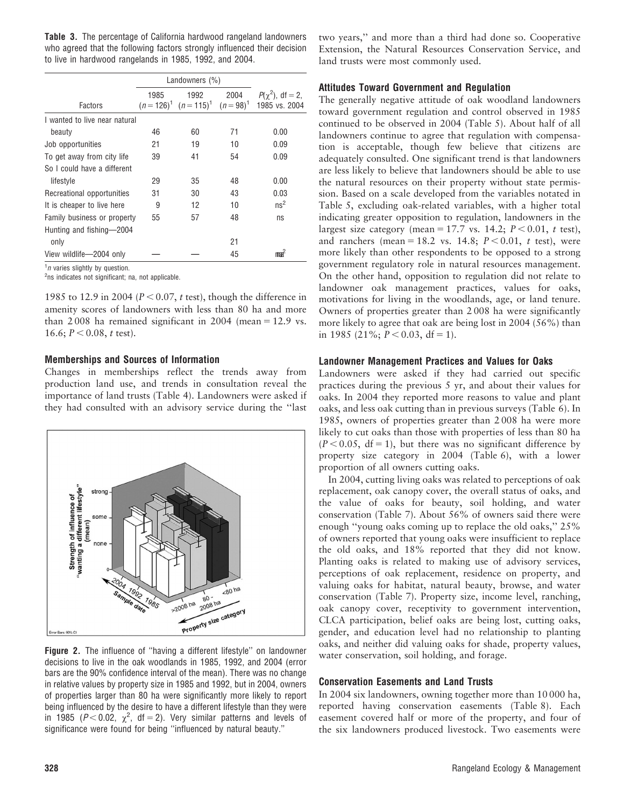Table 3. The percentage of California hardwood rangeland landowners who agreed that the following factors strongly influenced their decision to live in hardwood rangelands in 1985, 1992, and 2004.

|                               |      | Landowners $(\%)$                          |      |                                        |
|-------------------------------|------|--------------------------------------------|------|----------------------------------------|
| Factors                       | 1985 | 1992<br>$(n=126)^1$ $(n=115)^1$ $(n=98)^1$ | 2004 | $P(\chi^2)$ , df = 2,<br>1985 vs. 2004 |
| I wanted to live near natural |      |                                            |      |                                        |
| beauty                        | 46   | 60                                         | 71   | 0.00                                   |
| Job opportunities             | 21   | 19                                         | 10   | 0.09                                   |
| To get away from city life    | 39   | 41                                         | 54   | 0.09                                   |
| So I could have a different   |      |                                            |      |                                        |
| lifestyle                     | 29   | 35                                         | 48   | 0.00                                   |
| Recreational opportunities    | 31   | 30                                         | 43   | 0.03                                   |
| It is cheaper to live here    | 9    | 12                                         | 10   | ns <sup>2</sup>                        |
| Family business or property   | 55   | 57                                         | 48   | ns                                     |
| Hunting and fishing-2004      |      |                                            |      |                                        |
| only                          |      |                                            | 21   |                                        |
| View wildlife-2004 only       |      |                                            | 45   | mar                                    |

 $1n$  varies slightly by question.

<sup>2</sup>ns indicates not significant; na, not applicable.

1985 to 12.9 in 2004 ( $P < 0.07$ , t test), though the difference in amenity scores of landowners with less than 80 ha and more than  $2008$  ha remained significant in  $2004$  (mean = 12.9 vs. 16.6;  $P < 0.08$ , t test).

#### Memberships and Sources of Information

Changes in memberships reflect the trends away from production land use, and trends in consultation reveal the importance of land trusts (Table 4). Landowners were asked if they had consulted with an advisory service during the ''last



Figure 2. The influence of "having a different lifestyle" on landowner decisions to live in the oak woodlands in 1985, 1992, and 2004 (error bars are the 90% confidence interval of the mean). There was no change in relative values by property size in 1985 and 1992, but in 2004, owners of properties larger than 80 ha were significantly more likely to report being influenced by the desire to have a different lifestyle than they were in 1985 (P<0.02,  $\chi^2$ , df = 2). Very similar patterns and levels of significance were found for being ''influenced by natural beauty.''

two years,'' and more than a third had done so. Cooperative Extension, the Natural Resources Conservation Service, and land trusts were most commonly used.

## Attitudes Toward Government and Regulation

The generally negative attitude of oak woodland landowners toward government regulation and control observed in 1985 continued to be observed in 2004 (Table 5). About half of all landowners continue to agree that regulation with compensation is acceptable, though few believe that citizens are adequately consulted. One significant trend is that landowners are less likely to believe that landowners should be able to use the natural resources on their property without state permission. Based on a scale developed from the variables notated in Table 5, excluding oak-related variables, with a higher total indicating greater opposition to regulation, landowners in the largest size category (mean = 17.7 vs. 14.2;  $P < 0.01$ , t test), and ranchers (mean = 18.2 vs. 14.8;  $P < 0.01$ , t test), were more likely than other respondents to be opposed to a strong government regulatory role in natural resources management. On the other hand, opposition to regulation did not relate to landowner oak management practices, values for oaks, motivations for living in the woodlands, age, or land tenure. Owners of properties greater than 2 008 ha were significantly more likely to agree that oak are being lost in 2004 (56%) than in 1985 (21%;  $P < 0.03$ , df = 1).

#### Landowner Management Practices and Values for Oaks

Landowners were asked if they had carried out specific practices during the previous 5 yr, and about their values for oaks. In 2004 they reported more reasons to value and plant oaks, and less oak cutting than in previous surveys (Table 6). In 1985, owners of properties greater than 2 008 ha were more likely to cut oaks than those with properties of less than 80 ha  $(P < 0.05$ ,  $df = 1)$ , but there was no significant difference by property size category in 2004 (Table 6), with a lower proportion of all owners cutting oaks.

In 2004, cutting living oaks was related to perceptions of oak replacement, oak canopy cover, the overall status of oaks, and the value of oaks for beauty, soil holding, and water conservation (Table 7). About 56% of owners said there were enough ''young oaks coming up to replace the old oaks,'' 25% of owners reported that young oaks were insufficient to replace the old oaks, and 18% reported that they did not know. Planting oaks is related to making use of advisory services, perceptions of oak replacement, residence on property, and valuing oaks for habitat, natural beauty, browse, and water conservation (Table 7). Property size, income level, ranching, oak canopy cover, receptivity to government intervention, CLCA participation, belief oaks are being lost, cutting oaks, gender, and education level had no relationship to planting oaks, and neither did valuing oaks for shade, property values, water conservation, soil holding, and forage.

#### Conservation Easements and Land Trusts

In 2004 six landowners, owning together more than 10 000 ha, reported having conservation easements (Table 8). Each easement covered half or more of the property, and four of the six landowners produced livestock. Two easements were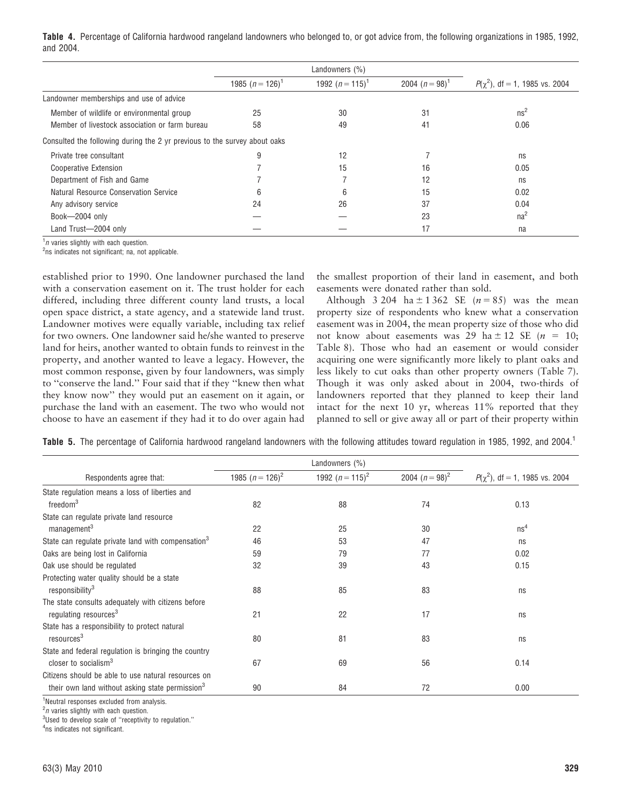|                                                                           |                    | Landowners (%)       |                 |                                     |
|---------------------------------------------------------------------------|--------------------|----------------------|-----------------|-------------------------------------|
|                                                                           | 1985 $(n = 126)^T$ | 1992 $(n = 115)^{1}$ | 2004 $(n=98)^1$ | $P(\chi^2)$ , df = 1, 1985 vs. 2004 |
| Landowner memberships and use of advice                                   |                    |                      |                 |                                     |
| Member of wildlife or environmental group                                 | 25                 | 30                   | 31              | $ns^2$                              |
| Member of livestock association or farm bureau                            | 58                 | 49                   | 41              | 0.06                                |
| Consulted the following during the 2 yr previous to the survey about oaks |                    |                      |                 |                                     |
| Private tree consultant                                                   | 9                  | 12                   |                 | ns                                  |
| <b>Cooperative Extension</b>                                              |                    | 15                   | 16              | 0.05                                |
| Department of Fish and Game                                               |                    |                      | 12              | ns                                  |
| Natural Resource Conservation Service                                     | b                  | h                    | 15              | 0.02                                |
| Any advisory service                                                      | 24                 | 26                   | 37              | 0.04                                |
| Book-2004 only                                                            |                    |                      | 23              | na <sup>2</sup>                     |
| Land Trust-2004 only                                                      |                    |                      |                 | na                                  |

Table 4. Percentage of California hardwood rangeland landowners who belonged to, or got advice from, the following organizations in 1985, 1992, and 2004.

 $1n$  varies slightly with each question.

<sup>2</sup>ns indicates not significant; na, not applicable.

established prior to 1990. One landowner purchased the land with a conservation easement on it. The trust holder for each differed, including three different county land trusts, a local open space district, a state agency, and a statewide land trust. Landowner motives were equally variable, including tax relief for two owners. One landowner said he/she wanted to preserve land for heirs, another wanted to obtain funds to reinvest in the property, and another wanted to leave a legacy. However, the most common response, given by four landowners, was simply to ''conserve the land.'' Four said that if they ''knew then what they know now'' they would put an easement on it again, or purchase the land with an easement. The two who would not choose to have an easement if they had it to do over again had

the smallest proportion of their land in easement, and both easements were donated rather than sold.

Although 3 204 ha  $\pm$  1 362 SE (n = 85) was the mean property size of respondents who knew what a conservation easement was in 2004, the mean property size of those who did not know about easements was 29 ha  $\pm$  12 SE (n = 10; Table 8). Those who had an easement or would consider acquiring one were significantly more likely to plant oaks and less likely to cut oaks than other property owners (Table 7). Though it was only asked about in 2004, two-thirds of landowners reported that they planned to keep their land intact for the next 10 yr, whereas 11% reported that they planned to sell or give away all or part of their property within

Table 5. The percentage of California hardwood rangeland landowners with the following attitudes toward regulation in 1985, 1992, and 2004.<sup>1</sup>

|                                                                |                    | Landowners (%)     |                 |                                     |
|----------------------------------------------------------------|--------------------|--------------------|-----------------|-------------------------------------|
| Respondents agree that:                                        | 1985 $(n = 126)^2$ | 1992 $(n = 115)^2$ | 2004 $(n=98)^2$ | $P(\chi^2)$ , df = 1, 1985 vs. 2004 |
| State regulation means a loss of liberties and                 |                    |                    |                 |                                     |
| freedom <sup>3</sup>                                           | 82                 | 88                 | 74              | 0.13                                |
| State can regulate private land resource                       |                    |                    |                 |                                     |
| management <sup>3</sup>                                        | 22                 | 25                 | 30              | ns <sup>4</sup>                     |
| State can regulate private land with compensation <sup>3</sup> | 46                 | 53                 | 47              | ns                                  |
| Oaks are being lost in California                              | 59                 | 79                 | 77              | 0.02                                |
| Oak use should be regulated                                    | 32                 | 39                 | 43              | 0.15                                |
| Protecting water quality should be a state                     |                    |                    |                 |                                     |
| responsibility <sup>3</sup>                                    | 88                 | 85                 | 83              | ns                                  |
| The state consults adequately with citizens before             |                    |                    |                 |                                     |
| regulating resources <sup>3</sup>                              | 21                 | 22                 | 17              | ns                                  |
| State has a responsibility to protect natural                  |                    |                    |                 |                                     |
| resources <sup>3</sup>                                         | 80                 | 81                 | 83              | ns                                  |
| State and federal regulation is bringing the country           |                    |                    |                 |                                     |
| closer to socialism <sup>3</sup>                               | 67                 | 69                 | 56              | 0.14                                |
| Citizens should be able to use natural resources on            |                    |                    |                 |                                     |
| their own land without asking state permission <sup>3</sup>    | 90                 | 84                 | 72              | 0.00                                |

<sup>1</sup>Neutral responses excluded from analysis.

 $2n$  varies slightly with each question.

<sup>3</sup>Used to develop scale of "receptivity to regulation."

<sup>4</sup>ns indicates not significant.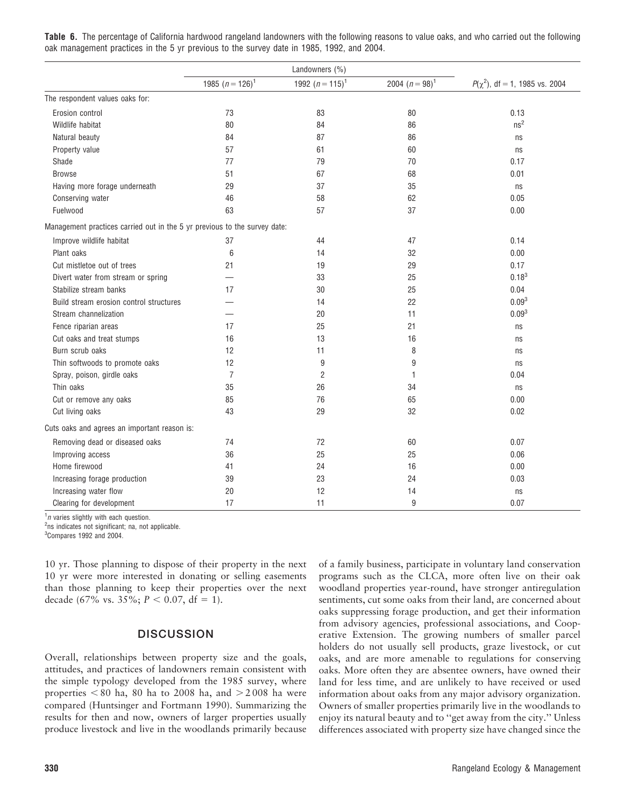|                                                                           | 1985 $(n = 126)^1$ | 1992 $(n = 115)^1$ | 2004 $(n = 98)^1$ | $P(\chi^2)$ , df = 1, 1985 vs. 2004 |
|---------------------------------------------------------------------------|--------------------|--------------------|-------------------|-------------------------------------|
| The respondent values oaks for:                                           |                    |                    |                   |                                     |
| Erosion control                                                           | 73                 | 83                 | 80                | 0.13                                |
| Wildlife habitat                                                          | 80                 | 84                 | 86                | ns <sup>2</sup>                     |
| Natural beauty                                                            | 84                 | 87                 | 86                | ns                                  |
| Property value                                                            | 57                 | 61                 | 60                | ns                                  |
| Shade                                                                     | 77                 | 79                 | 70                | 0.17                                |
| <b>Browse</b>                                                             | 51                 | 67                 | 68                | 0.01                                |
| Having more forage underneath                                             | 29                 | 37                 | 35                | ns                                  |
| Conserving water                                                          | 46                 | 58                 | 62                | 0.05                                |
| Fuelwood                                                                  | 63                 | 57                 | 37                | 0.00                                |
| Management practices carried out in the 5 yr previous to the survey date: |                    |                    |                   |                                     |
| Improve wildlife habitat                                                  | 37                 | 44                 | 47                | 0.14                                |
| Plant oaks                                                                | 6                  | 14                 | 32                | 0.00                                |
| Cut mistletoe out of trees                                                | 21                 | 19                 | 29                | 0.17                                |
| Divert water from stream or spring                                        |                    | 33                 | 25                | 0.18 <sup>3</sup>                   |
| Stabilize stream banks                                                    | 17                 | 30                 | 25                | 0.04                                |
| Build stream erosion control structures                                   |                    | 14                 | 22                | $0.09^{3}$                          |
| Stream channelization                                                     |                    | 20                 | 11                | $0.09^{3}$                          |
| Fence riparian areas                                                      | 17                 | 25                 | 21                | ns                                  |
| Cut oaks and treat stumps                                                 | 16                 | 13                 | 16                | ns                                  |
| Burn scrub oaks                                                           | 12                 | 11                 | 8                 | ns                                  |
| Thin softwoods to promote oaks                                            | 12                 | 9                  | 9                 | ns                                  |
| Spray, poison, girdle oaks                                                | $\overline{7}$     | $\overline{2}$     | 1                 | 0.04                                |
| Thin oaks                                                                 | 35                 | 26                 | 34                | ns                                  |
| Cut or remove any oaks                                                    | 85                 | 76                 | 65                | 0.00                                |
| Cut living oaks                                                           | 43                 | 29                 | 32                | 0.02                                |
| Cuts oaks and agrees an important reason is:                              |                    |                    |                   |                                     |
| Removing dead or diseased oaks                                            | 74                 | 72                 | 60                | 0.07                                |
| Improving access                                                          | 36                 | 25                 | 25                | 0.06                                |
| Home firewood                                                             | 41                 | 24                 | 16                | 0.00                                |
| Increasing forage production                                              | 39                 | 23                 | 24                | 0.03                                |
| Increasing water flow                                                     | 20                 | 12                 | 14                | ns                                  |
| Clearing for development                                                  | 17                 | 11                 | 9                 | 0.07                                |

Table 6. The percentage of California hardwood rangeland landowners with the following reasons to value oaks, and who carried out the following oak management practices in the 5 yr previous to the survey date in 1985, 1992, and 2004.

 $1n$  varies slightly with each question.

<sup>2</sup>ns indicates not significant; na, not applicable.

3 Compares 1992 and 2004.

10 yr. Those planning to dispose of their property in the next 10 yr were more interested in donating or selling easements than those planning to keep their properties over the next decade (67% vs. 35%;  $P < 0.07$ , df = 1).

## **DISCUSSION**

Overall, relationships between property size and the goals, attitudes, and practices of landowners remain consistent with the simple typology developed from the 1985 survey, where properties  $< 80$  ha, 80 ha to 2008 ha, and  $> 2008$  ha were compared (Huntsinger and Fortmann 1990). Summarizing the results for then and now, owners of larger properties usually produce livestock and live in the woodlands primarily because of a family business, participate in voluntary land conservation programs such as the CLCA, more often live on their oak woodland properties year-round, have stronger antiregulation sentiments, cut some oaks from their land, are concerned about oaks suppressing forage production, and get their information from advisory agencies, professional associations, and Cooperative Extension. The growing numbers of smaller parcel holders do not usually sell products, graze livestock, or cut oaks, and are more amenable to regulations for conserving oaks. More often they are absentee owners, have owned their land for less time, and are unlikely to have received or used information about oaks from any major advisory organization. Owners of smaller properties primarily live in the woodlands to enjoy its natural beauty and to ''get away from the city.'' Unless differences associated with property size have changed since the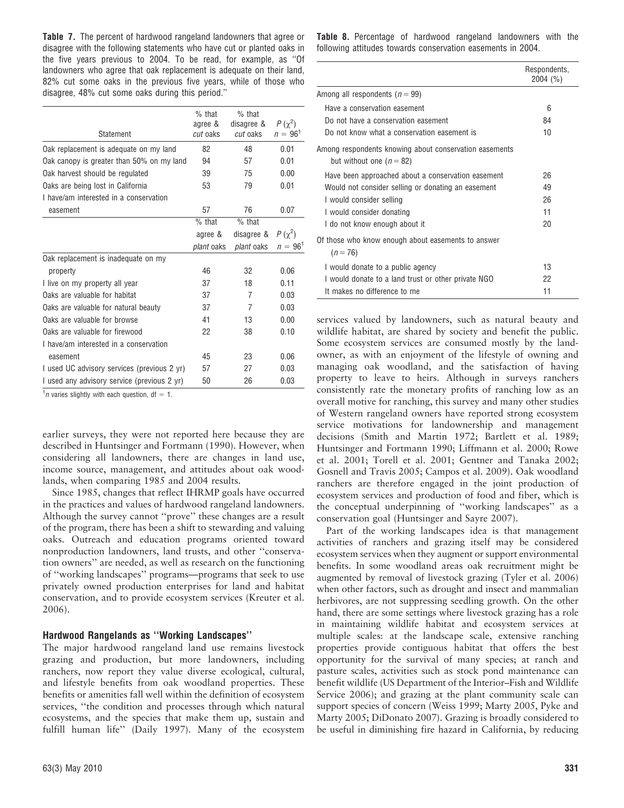Table 7. The percent of hardwood rangeland landowners that agree or disagree with the following statements who have cut or planted oaks in the five years previous to 2004. To be read, for example, as ''Of landowners who agree that oak replacement is adequate on their land, 82% cut some oaks in the previous five years, while of those who disagree, 48% cut some oaks during this period.''

| Statement                                   | $%$ that<br>agree &<br>cut oaks | $%$ that<br>disagree &<br>cut oaks | $P(\chi^2)$<br>$n = 96^{\circ}$ |
|---------------------------------------------|---------------------------------|------------------------------------|---------------------------------|
| Oak replacement is adequate on my land      | 82                              | 48                                 | 0.01                            |
| Oak canopy is greater than 50% on my land   | 94                              | 57                                 | 0.01                            |
| Oak harvest should be regulated             | 39                              | 75                                 | 0.00                            |
| Oaks are being lost in California           | 53                              | 79                                 | 0.01                            |
| I have/am interested in a conservation      |                                 |                                    |                                 |
| easement                                    | 57                              | 76                                 | 0.07                            |
|                                             | $%$ that                        | $%$ that                           |                                 |
|                                             | agree &                         | disagree &                         | $P(\chi^2)$                     |
|                                             | plant oaks                      | plant oaks                         | $n = 96^{\circ}$                |
| Oak replacement is inadequate on my         |                                 |                                    |                                 |
| property                                    | 46                              | 32                                 | 0.06                            |
| I live on my property all year              | 37                              | 18                                 | 0.11                            |
| Oaks are valuable for habitat               | 37                              | 7                                  | 0.03                            |
| Oaks are valuable for natural beauty        | 37                              | $\overline{7}$                     | 0.03                            |
| Oaks are valuable for browse                | 41                              | 13                                 | 0.00                            |
| Oaks are valuable for firewood              | 22                              | 38                                 | 0.10                            |
| I have/am interested in a conservation      |                                 |                                    |                                 |
| easement                                    | 45                              | 23                                 | 0.06                            |
| I used UC advisory services (previous 2 yr) | 57                              | 27                                 | 0.03                            |
| I used any advisory service (previous 2 yr) | 50                              | 26                                 | 0.03                            |

 $1n$  varies slightly with each question, df = 1.

earlier surveys, they were not reported here because they are described in Huntsinger and Fortmann (1990). However, when considering all landowners, there are changes in land use, income source, management, and attitudes about oak woodlands, when comparing 1985 and 2004 results.

Since 1985, changes that reflect IHRMP goals have occurred in the practices and values of hardwood rangeland landowners. Although the survey cannot ''prove'' these changes are a result of the program, there has been a shift to stewarding and valuing oaks. Outreach and education programs oriented toward nonproduction landowners, land trusts, and other ''conservation owners'' are needed, as well as research on the functioning of ''working landscapes'' programs—programs that seek to use privately owned production enterprises for land and habitat conservation, and to provide ecosystem services (Kreuter et al. 2006).

#### Hardwood Rangelands as ''Working Landscapes''

The major hardwood rangeland land use remains livestock grazing and production, but more landowners, including ranchers, now report they value diverse ecological, cultural, and lifestyle benefits from oak woodland properties. These benefits or amenities fall well within the definition of ecosystem services, ''the condition and processes through which natural ecosystems, and the species that make them up, sustain and fulfill human life'' (Daily 1997). Many of the ecosystem

Table 8. Percentage of hardwood rangeland landowners with the following attitudes towards conservation easements in 2004.

|                                                                                        | Respondents,<br>$2004 \; (%)$ |
|----------------------------------------------------------------------------------------|-------------------------------|
| Among all respondents ( $n = 99$ )                                                     |                               |
| Have a conservation easement                                                           | 6                             |
| Do not have a conservation easement                                                    | 84                            |
| Do not know what a conservation easement is                                            | 10                            |
| Among respondents knowing about conservation easements<br>but without one ( $n = 82$ ) |                               |
| Have been approached about a conservation easement                                     | 26                            |
| Would not consider selling or donating an easement                                     | 49                            |
| I would consider selling                                                               | 26                            |
| I would consider donating                                                              | 11                            |
| I do not know enough about it                                                          | 20                            |
| Of those who know enough about easements to answer<br>$(n=76)$                         |                               |
| I would donate to a public agency                                                      | 13                            |
| I would donate to a land trust or other private NGO                                    | 22                            |
| It makes no difference to me                                                           | 11                            |

services valued by landowners, such as natural beauty and wildlife habitat, are shared by society and benefit the public. Some ecosystem services are consumed mostly by the landowner, as with an enjoyment of the lifestyle of owning and managing oak woodland, and the satisfaction of having property to leave to heirs. Although in surveys ranchers consistently rate the monetary profits of ranching low as an overall motive for ranching, this survey and many other studies of Western rangeland owners have reported strong ecosystem service motivations for landownership and management decisions (Smith and Martin 1972; Bartlett et al. 1989; Huntsinger and Fortmann 1990; Liffmann et al. 2000; Rowe et al. 2001; Torell et al. 2001; Gentner and Tanaka 2002; Gosnell and Travis 2005; Campos et al. 2009). Oak woodland ranchers are therefore engaged in the joint production of ecosystem services and production of food and fiber, which is the conceptual underpinning of ''working landscapes'' as a conservation goal (Huntsinger and Sayre 2007).

Part of the working landscapes idea is that management activities of ranchers and grazing itself may be considered ecosystem services when they augment or support environmental benefits. In some woodland areas oak recruitment might be augmented by removal of livestock grazing (Tyler et al. 2006) when other factors, such as drought and insect and mammalian herbivores, are not suppressing seedling growth. On the other hand, there are some settings where livestock grazing has a role in maintaining wildlife habitat and ecosystem services at multiple scales: at the landscape scale, extensive ranching properties provide contiguous habitat that offers the best opportunity for the survival of many species; at ranch and pasture scales, activities such as stock pond maintenance can benefit wildlife (US Department of the Interior–Fish and Wildlife Service 2006); and grazing at the plant community scale can support species of concern (Weiss 1999; Marty 2005, Pyke and Marty 2005; DiDonato 2007). Grazing is broadly considered to be useful in diminishing fire hazard in California, by reducing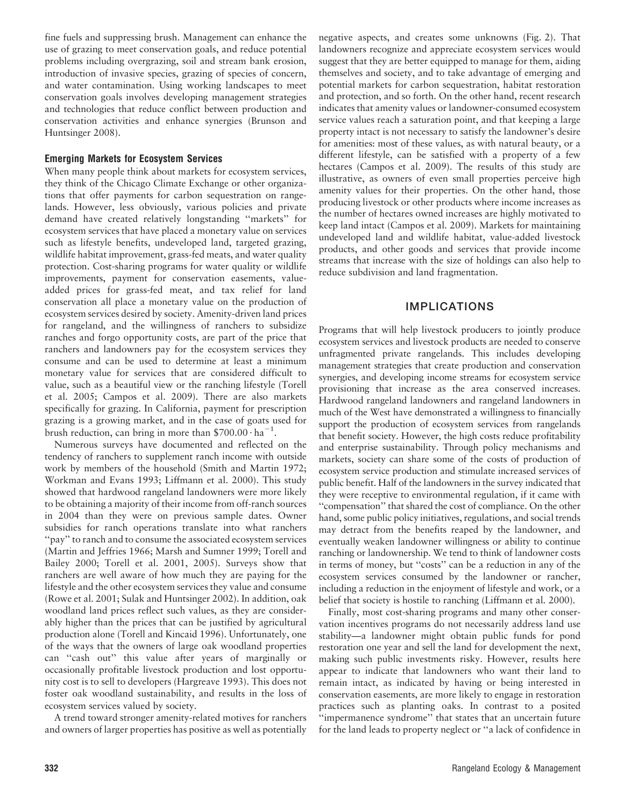fine fuels and suppressing brush. Management can enhance the use of grazing to meet conservation goals, and reduce potential problems including overgrazing, soil and stream bank erosion, introduction of invasive species, grazing of species of concern, and water contamination. Using working landscapes to meet conservation goals involves developing management strategies and technologies that reduce conflict between production and conservation activities and enhance synergies (Brunson and Huntsinger 2008).

## Emerging Markets for Ecosystem Services

When many people think about markets for ecosystem services, they think of the Chicago Climate Exchange or other organizations that offer payments for carbon sequestration on rangelands. However, less obviously, various policies and private demand have created relatively longstanding ''markets'' for ecosystem services that have placed a monetary value on services such as lifestyle benefits, undeveloped land, targeted grazing, wildlife habitat improvement, grass-fed meats, and water quality protection. Cost-sharing programs for water quality or wildlife improvements, payment for conservation easements, valueadded prices for grass-fed meat, and tax relief for land conservation all place a monetary value on the production of ecosystem services desired by society. Amenity-driven land prices for rangeland, and the willingness of ranchers to subsidize ranches and forgo opportunity costs, are part of the price that ranchers and landowners pay for the ecosystem services they consume and can be used to determine at least a minimum monetary value for services that are considered difficult to value, such as a beautiful view or the ranching lifestyle (Torell et al. 2005; Campos et al. 2009). There are also markets specifically for grazing. In California, payment for prescription grazing is a growing market, and in the case of goats used for brush reduction, can bring in more than  $$700.00 \cdot ha^{-1}$ .

Numerous surveys have documented and reflected on the tendency of ranchers to supplement ranch income with outside work by members of the household (Smith and Martin 1972; Workman and Evans 1993; Liffmann et al. 2000). This study showed that hardwood rangeland landowners were more likely to be obtaining a majority of their income from off-ranch sources in 2004 than they were on previous sample dates. Owner subsidies for ranch operations translate into what ranchers ''pay'' to ranch and to consume the associated ecosystem services (Martin and Jeffries 1966; Marsh and Sumner 1999; Torell and Bailey 2000; Torell et al. 2001, 2005). Surveys show that ranchers are well aware of how much they are paying for the lifestyle and the other ecosystem services they value and consume (Rowe et al. 2001; Sulak and Huntsinger 2002). In addition, oak woodland land prices reflect such values, as they are considerably higher than the prices that can be justified by agricultural production alone (Torell and Kincaid 1996). Unfortunately, one of the ways that the owners of large oak woodland properties can ''cash out'' this value after years of marginally or occasionally profitable livestock production and lost opportunity cost is to sell to developers (Hargreave 1993). This does not foster oak woodland sustainability, and results in the loss of ecosystem services valued by society.

A trend toward stronger amenity-related motives for ranchers and owners of larger properties has positive as well as potentially

negative aspects, and creates some unknowns (Fig. 2). That landowners recognize and appreciate ecosystem services would suggest that they are better equipped to manage for them, aiding themselves and society, and to take advantage of emerging and potential markets for carbon sequestration, habitat restoration and protection, and so forth. On the other hand, recent research indicates that amenity values or landowner-consumed ecosystem service values reach a saturation point, and that keeping a large property intact is not necessary to satisfy the landowner's desire for amenities: most of these values, as with natural beauty, or a different lifestyle, can be satisfied with a property of a few hectares (Campos et al. 2009). The results of this study are illustrative, as owners of even small properties perceive high amenity values for their properties. On the other hand, those producing livestock or other products where income increases as the number of hectares owned increases are highly motivated to keep land intact (Campos et al. 2009). Markets for maintaining undeveloped land and wildlife habitat, value-added livestock products, and other goods and services that provide income streams that increase with the size of holdings can also help to reduce subdivision and land fragmentation.

## IMPLICATIONS

Programs that will help livestock producers to jointly produce ecosystem services and livestock products are needed to conserve unfragmented private rangelands. This includes developing management strategies that create production and conservation synergies, and developing income streams for ecosystem service provisioning that increase as the area conserved increases. Hardwood rangeland landowners and rangeland landowners in much of the West have demonstrated a willingness to financially support the production of ecosystem services from rangelands that benefit society. However, the high costs reduce profitability and enterprise sustainability. Through policy mechanisms and markets, society can share some of the costs of production of ecosystem service production and stimulate increased services of public benefit. Half of the landowners in the survey indicated that they were receptive to environmental regulation, if it came with ''compensation'' that shared the cost of compliance. On the other hand, some public policy initiatives, regulations, and social trends may detract from the benefits reaped by the landowner, and eventually weaken landowner willingness or ability to continue ranching or landownership. We tend to think of landowner costs in terms of money, but ''costs'' can be a reduction in any of the ecosystem services consumed by the landowner or rancher, including a reduction in the enjoyment of lifestyle and work, or a belief that society is hostile to ranching (Liffmann et al. 2000).

Finally, most cost-sharing programs and many other conservation incentives programs do not necessarily address land use stability—a landowner might obtain public funds for pond restoration one year and sell the land for development the next, making such public investments risky. However, results here appear to indicate that landowners who want their land to remain intact, as indicated by having or being interested in conservation easements, are more likely to engage in restoration practices such as planting oaks. In contrast to a posited ''impermanence syndrome'' that states that an uncertain future for the land leads to property neglect or ''a lack of confidence in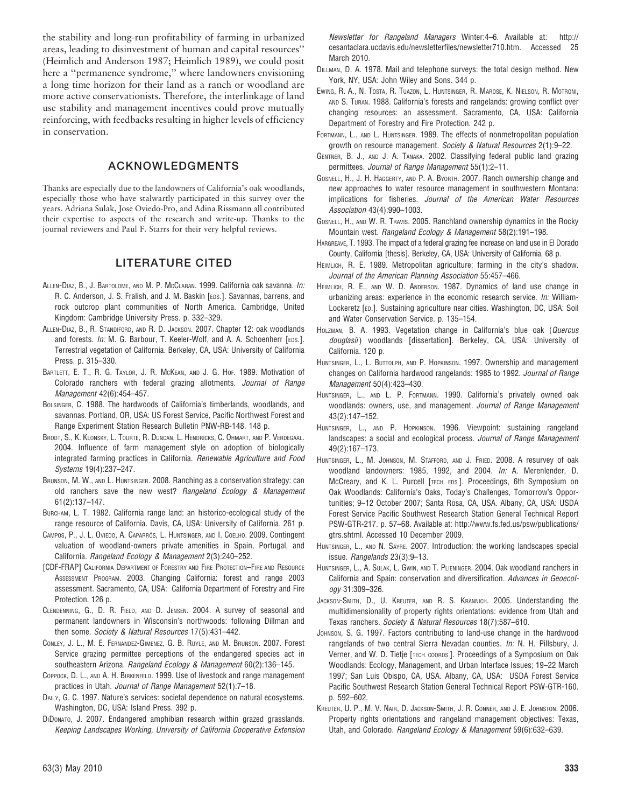the stability and long-run profitability of farming in urbanized areas, leading to disinvestment of human and capital resources'' (Heimlich and Anderson 1987; Heimlich 1989), we could posit here a "permanence syndrome," where landowners envisioning a long time horizon for their land as a ranch or woodland are more active conservationists. Therefore, the interlinkage of land use stability and management incentives could prove mutually reinforcing, with feedbacks resulting in higher levels of efficiency in conservation.

# ACKNOWLEDGMENTS

Thanks are especially due to the landowners of California's oak woodlands, especially those who have stalwartly participated in this survey over the years. Adriana Sulak, Jose Oviedo-Pro, and Adina Rissmann all contributed their expertise to aspects of the research and write-up. Thanks to the journal reviewers and Paul F. Starrs for their very helpful reviews.

## LITERATURE CITED

- ALLEN-DIAZ, B., J. BARTOLOME, AND M. P. MCCLARAN. 1999. California oak savanna. In: R. C. Anderson, J. S. Fralish, and J. M. Baskin [EDS.]. Savannas, barrens, and rock outcrop plant communities of North America. Cambridge, United Kingdom: Cambridge University Press. p. 332–329.
- ALLEN-DIAZ, B., R. STANDIFORD, AND R. D. JACKSON. 2007. Chapter 12: oak woodlands and forests. In: M. G. Barbour, T. Keeler-Wolf, and A. A. Schoenherr [EDS.]. Terrestrial vegetation of California. Berkeley, CA, USA: University of California Press. p. 315–330.
- BARTLETT, E. T., R. G. TAYLOR, J. R. McKEAN, AND J. G. HOF. 1989. Motivation of Colorado ranchers with federal grazing allotments. Journal of Range Management 42(6):454–457.
- BOLSINGER, C. 1988. The hardwoods of California's timberlands, woodlands, and savannas. Portland, OR, USA: US Forest Service, Pacific Northwest Forest and Range Experiment Station Research Bulletin PNW-RB-148. 148 p.
- BRODT, S., K. KLONSKY, L. TOURTE, R. DUNCAN, L. HENDRICKS, C. OHMART, AND P. VERDEGAAL. 2004. Influence of farm management style on adoption of biologically integrated farming practices in California. Renewable Agriculture and Food Systems 19(4):237–247.
- BRUNSON, M. W., AND L. HUNTSINGER. 2008. Ranching as a conservation strategy: can old ranchers save the new west? Rangeland Ecology & Management 61(2):137–147.
- BURCHAM, L. T. 1982. California range land: an historico-ecological study of the range resource of California. Davis, CA, USA: University of California. 261 p.
- CAMPOS, P., J. L. OVIEDO, A. CAPARRÓS, L. HUNTSINGER, AND I. COELHO. 2009. Contingent valuation of woodland-owners private amenities in Spain, Portugal, and California. Rangeland Ecology & Management 2(3):240–252.
- [CDF-FRAP] CALIFORNIA DEPARTMENT OF FORESTRY AND FIRE PROTECTION–FIRE AND RESOURCE ASSESSMENT PROGRAM. 2003. Changing California: forest and range 2003 assessment. Sacramento, CA, USA: California Department of Forestry and Fire Protection. 126 p.
- CLENDENNING, G., D. R. FIELD, AND D. JENSEN. 2004. A survey of seasonal and permanent landowners in Wisconsin's northwoods: following Dillman and then some. Society & Natural Resources 17(5):431-442.
- CONLEY, J. L., M. E. FERNANDEZ-GIMENEZ, G. B. RUYLE, AND M. BRUNSON. 2007. Forest Service grazing permittee perceptions of the endangered species act in southeastern Arizona. Rangeland Ecology & Management 60(2):136-145.
- COPPOCK, D. L., AND A. H. BIRKENFELD. 1999. Use of livestock and range management practices in Utah. Journal of Range Management 52(1):7–18.
- DAILY, G. C. 1997. Nature's services: societal dependence on natural ecosystems. Washington, DC, USA: Island Press. 392 p.
- DIDONATO, J. 2007. Endangered amphibian research within grazed grasslands. Keeping Landscapes Working, University of California Cooperative Extension

Newsletter for Rangeland Managers Winter:4–6. Available at: http:// cesantaclara.ucdavis.edu/newsletterfiles/newsletter710.htm. Accessed 25 March 2010.

- DILLMAN, D. A. 1978. Mail and telephone surveys: the total design method. New York, NY, USA: John Wiley and Sons. 344 p.
- EWING, R. A., N. TOSTA, R. TUAZON, L. HUNTSINGER, R. MAROSE, K. NIELSON, R. MOTRONI, AND S. TURAN. 1988. California's forests and rangelands: growing conflict over changing resources: an assessment. Sacramento, CA, USA: California Department of Forestry and Fire Protection. 242 p.
- FORTMANN, L., AND L. HUNTSINGER. 1989. The effects of nonmetropolitan population growth on resource management. Society & Natural Resources 2(1):9-22.
- GENTNER, B. J., AND J. A. TANAKA. 2002. Classifying federal public land grazing permittees. Journal of Range Management 55(1):2–11.
- GOSNELL, H., J. H. HAGGERTY, AND P. A. BYORTH. 2007. Ranch ownership change and new approaches to water resource management in southwestern Montana: implications for fisheries. Journal of the American Water Resources Association 43(4):990–1003.
- GOSNELL, H., AND W. R. TRAVIS. 2005. Ranchland ownership dynamics in the Rocky Mountain west. Rangeland Ecology & Management 58(2):191–198.
- HARGREAVE, T. 1993. The impact of a federal grazing fee increase on land use in El Dorado County, California [thesis]. Berkeley, CA, USA: University of California. 68 p.
- HEIMLICH, R. E. 1989. Metropolitan agriculture; farming in the city's shadow. Journal of the American Planning Association 55:457–466.
- HEIMLICH, R. E., AND W. D. ANDERSON. 1987. Dynamics of land use change in urbanizing areas: experience in the economic research service. In: William-Lockeretz [ED.]. Sustaining agriculture near cities. Washington, DC, USA: Soil and Water Conservation Service. p. 135–154.
- HOLZMAN, B. A. 1993. Vegetation change in California's blue oak (Quercus douglasii) woodlands [dissertation]. Berkeley, CA, USA: University of California. 120 p.
- HUNTSINGER, L., L. BUTTOLPH, AND P. HOPKINSON. 1997. Ownership and management changes on California hardwood rangelands: 1985 to 1992. Journal of Range Management 50(4):423–430.
- HUNTSINGER, L., AND L. P. FORTMANN. 1990. California's privately owned oak woodlands: owners, use, and management. Journal of Range Management 43(2):147–152.
- HUNTSINGER, L., AND P. HOPKINSON. 1996. Viewpoint: sustaining rangeland landscapes: a social and ecological process. Journal of Range Management 49(2):167–173.
- HUNTSINGER, L., M. JOHNSON, M. STAFFORD, AND J. FRIED. 2008. A resurvey of oak woodland landowners: 1985, 1992, and 2004. In: A. Merenlender, D. McCreary, and K. L. Purcell [TECH. EDS.]. Proceedings, 6th Symposium on Oak Woodlands: California's Oaks, Today's Challenges, Tomorrow's Opportunities; 9–12 October 2007; Santa Rosa, CA, USA. Albany, CA, USA: USDA Forest Service Pacific Southwest Research Station General Technical Report PSW-GTR-217. p. 57–68. Available at: http://www.fs.fed.us/psw/publications/ gtrs.shtml. Accessed 10 December 2009.
- HUNTSINGER, L., AND N. SAYRE. 2007. Introduction: the working landscapes special issue. Rangelands 23(3):9–13.
- HUNTSINGER, L., A. SULAK, L. GWIN, AND T. PLIENINGER. 2004. Oak woodland ranchers in California and Spain: conservation and diversification. Advances in Geoecology 31:309–326.
- JACKSON-SMITH, D., U. KREUTER, AND R. S. KRANNICH. 2005. Understanding the multidimensionality of property rights orientations: evidence from Utah and Texas ranchers. Society & Natural Resources 18(7):587–610.
- JOHNSON, S. G. 1997. Factors contributing to land-use change in the hardwood rangelands of two central Sierra Nevadan counties. In: N. H. Pillsbury, J. Verner, and W. D. Tietje [TECH. COORDS.]. Proceedings of a Symposium on Oak Woodlands: Ecology, Management, and Urban Interface Issues; 19–22 March 1997; San Luis Obispo, CA, USA. Albany, CA, USA: USDA Forest Service Pacific Southwest Research Station General Technical Report PSW-GTR-160. p. 592–602.
- KREUTER, U. P., M. V. NAIR, D. JACKSON-SMITH, J. R. CONNER, AND J. E. JOHNSTON. 2006. Property rights orientations and rangeland management objectives: Texas, Utah, and Colorado. Rangeland Ecology & Management 59(6):632–639.